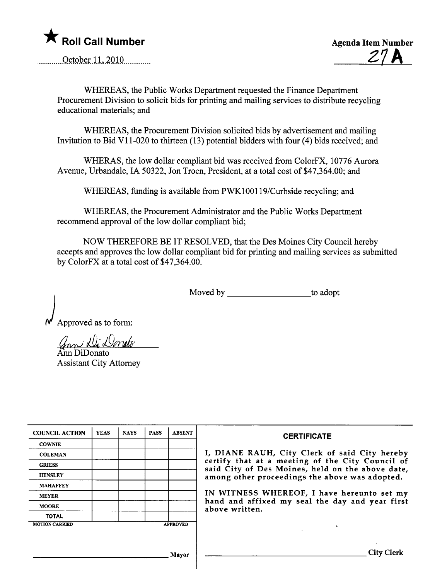

.m........ QçtQJ?~r- 11. .~QHL........... Z7A



WHEREAS, the Public Works Deparment requested the Finance Deparment Procurement Division to solicit bids for printing and mailing services to distribute recycling educational materials; and

WHEREAS, the Procurement Division solicited bids by advertisement and mailing Invitation to Bid V11-020 to thirteen (13) potential bidders with four (4) bids received; and

WHERAS, the low dollar compliant bid was received from ColorFX, 10776 Aurora Avenue, Urbandale, IA 50322, Jon Troen, President, at a total cost of \$47,364.00; and

WHEREAS, funding is available from PWK100119/Curbside recycling; and

WHEREAS, the Procurement Administrator and the Public Works Deparment recommend approval of the low dollar compliant bid;

NOW THEREFORE BE IT RESOLVED, that the Des Moines City Council hereby accepts and approves the low dollar compliant bid for printing and mailing services as submitted by ColorFX at a total cost of \$47,364.00.

Moved by to adopt

Approved as to form:

*Grood Rue Devute*<br>Ann DiDonato

Assistant City Attorney

| <b>COUNCIL ACTION</b> | <b>YEAS</b> | <b>NAYS</b> | <b>PASS</b> | <b>ABSENT</b>   | <b>CERTIFICATE</b>                                                                                   |
|-----------------------|-------------|-------------|-------------|-----------------|------------------------------------------------------------------------------------------------------|
| <b>COWNIE</b>         |             |             |             |                 |                                                                                                      |
| <b>COLEMAN</b>        |             |             |             |                 | I, DIANE RAUH, City Clerk of said City hereby                                                        |
| <b>GRIESS</b>         |             |             |             |                 | certify that at a meeting of the City Council of<br>said City of Des Moines, held on the above date, |
| <b>HENSLEY</b>        |             |             |             |                 | among other proceedings the above was adopted.                                                       |
| <b>MAHAFFEY</b>       |             |             |             |                 |                                                                                                      |
| <b>MEYER</b>          |             |             |             |                 | IN WITNESS WHEREOF, I have hereunto set my                                                           |
| <b>MOORE</b>          |             |             |             |                 | hand and affixed my seal the day and year first<br>above written.                                    |
| <b>TOTAL</b>          |             |             |             |                 |                                                                                                      |
| <b>MOTION CARRIED</b> |             |             |             | <b>APPROVED</b> |                                                                                                      |
|                       |             |             |             |                 |                                                                                                      |
|                       |             |             |             |                 |                                                                                                      |
|                       |             |             |             | Mayor           |                                                                                                      |